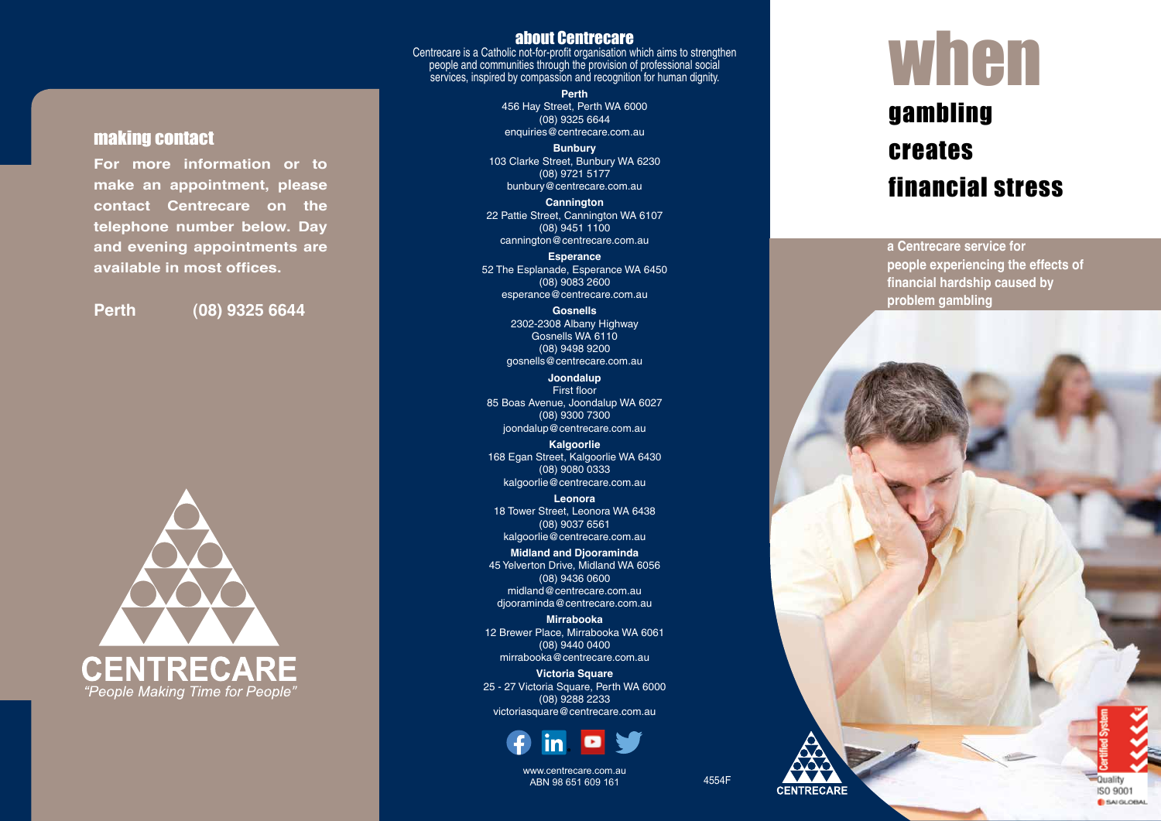#### about Centrecare

Centrecare is a Catholic not-for-profit organisation which aims to strengthen people and communities through the provision of professional social services, inspired by compassion and recognition for human dignity.

> **Perth** 456 Hay Street, Perth WA 6000 (08) 9325 6644 enquiries@centrecare.com.au

**Bunbury** 103 Clarke Street, Bunbury WA 6230 (08) 9721 5177 bunbury@centrecare.com.au

**Cannington** 22 Pattie Street, Cannington WA 6107 (08) 9451 1100 cannington@centrecare.com.au

**Esperance** 52 The Esplanade, Esperance WA 6450 (08) 9083 2600 esperance@centrecare.com.au

> **Gosnells** 2302-2308 Albany Highway Gosnells WA 6110 (08) 9498 9200 gosnells@centrecare.com.au

**Joondalup** First floor 85 Boas Avenue, Joondalup WA 6027 (08) 9300 7300 joondalup@centrecare.com.au

**Kalgoorlie** 168 Egan Street, Kalgoorlie WA 6430 (08) 9080 0333 kalgoorlie@centrecare.com.au

**Leonora** 18 Tower Street, Leonora WA 6438 (08) 9037 6561 kalgoorlie@centrecare.com.au

**Midland and Djooraminda** 45 Yelverton Drive, Midland WA 6056 (08) 9436 0600 midland@centrecare.com.au djooraminda@centrecare.com.au

**Mirrabooka** 12 Brewer Place, Mirrabooka WA 6061 (08) 9440 0400 mirrabooka@centrecare.com.au

**Victoria Square** 25 - 27 Victoria Square, Perth WA 6000 (08) 9288 2233 victoriasquare@centrecare.com.au



www.centrecare.com.au ABN 98 651 609 161 200 200 200 4554F

## when gambling creates financial stress

**a Centrecare service for people experiencing the effects of financial hardship caused by problem gambling**



making contact

**For more information or to make an appointment, please contact Centrecare on the telephone number below. Day and evening appointments are** 

**available in most offices.**

**Perth (08) 9325 6644**

Quality ISO 9001 **B** SAI GLOBAL

**CENTRECARE**